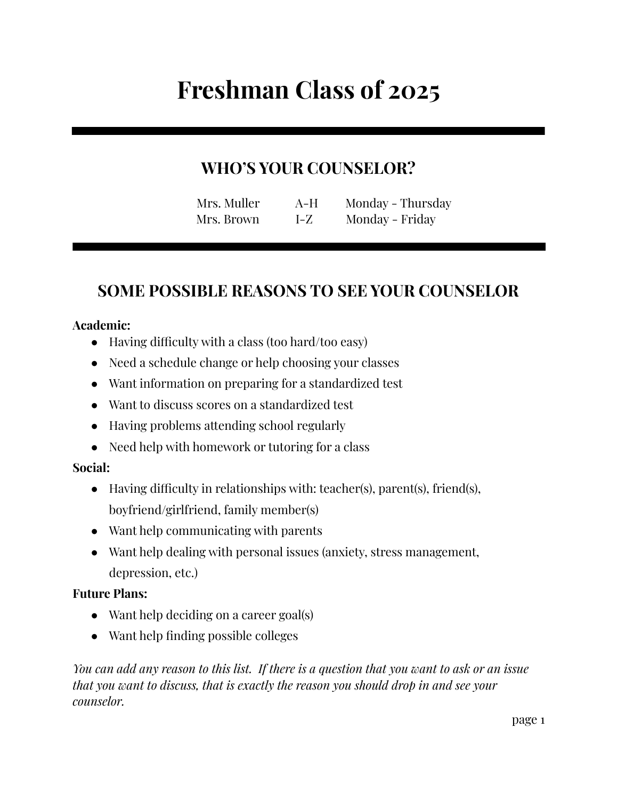# **Freshman Class of 2025**

## **WHO'S YOUR COUNSELOR?**

| Mrs. Muller | A-H | Monday - Thursday |
|-------------|-----|-------------------|
| Mrs. Brown  | I-Z | Monday - Friday   |

## **SOME POSSIBLE REASONS TO SEE YOUR COUNSELOR**

#### **Academic:**

- Having difficulty with a class (too hard/too easy)
- Need a schedule change or help choosing your classes
- Want information on preparing for a standardized test
- Want to discuss scores on a standardized test
- Having problems attending school regularly
- Need help with homework or tutoring for a class

#### **Social:**

- Having difficulty in relationships with: teacher(s), parent(s), friend(s), boyfriend/girlfriend, family member(s)
- Want help communicating with parents
- Want help dealing with personal issues (anxiety, stress management, depression, etc.)

#### **Future Plans:**

- Want help deciding on a career goal(s)
- Want help finding possible colleges

You can add any reason to this list. If there is a question that you want to ask or an issue *that you want to discuss, that is exactly the reason you should drop in and see your counselor.*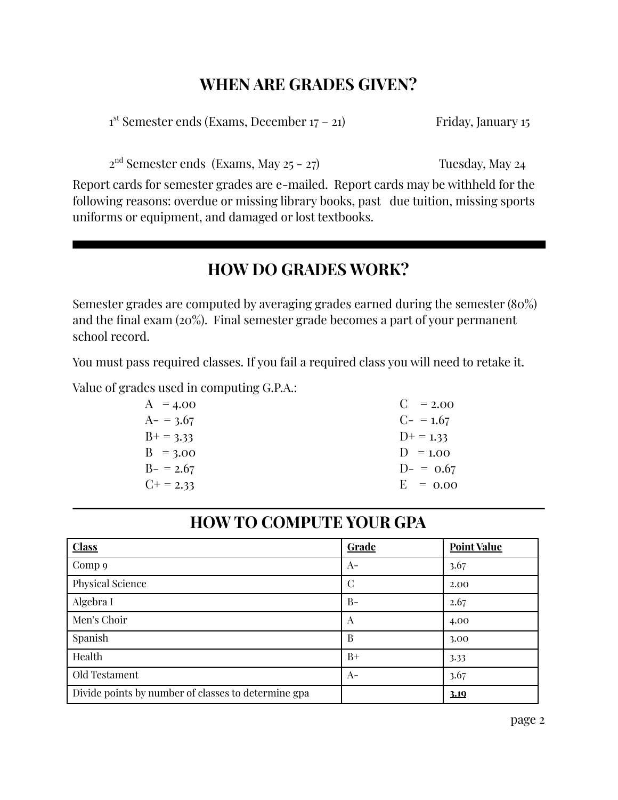## **WHEN ARE GRADES GIVEN?**

1<sup>st</sup> Semester ends (Exams, December 17 – 21) Friday, January 15

2 nd Semester ends (Exams, May 25 - 27) Tuesday, May 24

Report cards for semester grades are e-mailed. Report cards may be withheld for the following reasons: overdue or missing library books, past due tuition, missing sports uniforms or equipment, and damaged or lost textbooks.

#### **HOW DO GRADES WORK?**

Semester grades are computed by averaging grades earned during the semester (80%) and the final exam (20%). Final semester grade becomes a part of your permanent school record.

You must pass required classes. If you fail a required class you will need to retake it.

Value of grades used in computing G.P.A.:

| $C = 2.00$     |
|----------------|
| $C_{-}$ = 1.67 |
| $D^+=1.33$     |
| $D = 1.00$     |
| $D- = 0.67$    |
| $E = 0.00$     |
|                |

#### **HOW TO COMPUTE YOUR GPA**

| <b>Class</b>                                        | <b>Grade</b> | <b>Point Value</b> |
|-----------------------------------------------------|--------------|--------------------|
| Comp 9                                              | $A-$         | 3.67               |
| Physical Science                                    | С            | 2.00               |
| Algebra I                                           | $B -$        | 2.67               |
| Men's Choir                                         | A            | 4.00               |
| Spanish                                             | B            | 3.00               |
| Health                                              | $B+$         | 3.33               |
| Old Testament                                       | $A-$         | 3.67               |
| Divide points by number of classes to determine gpa |              | 3.19               |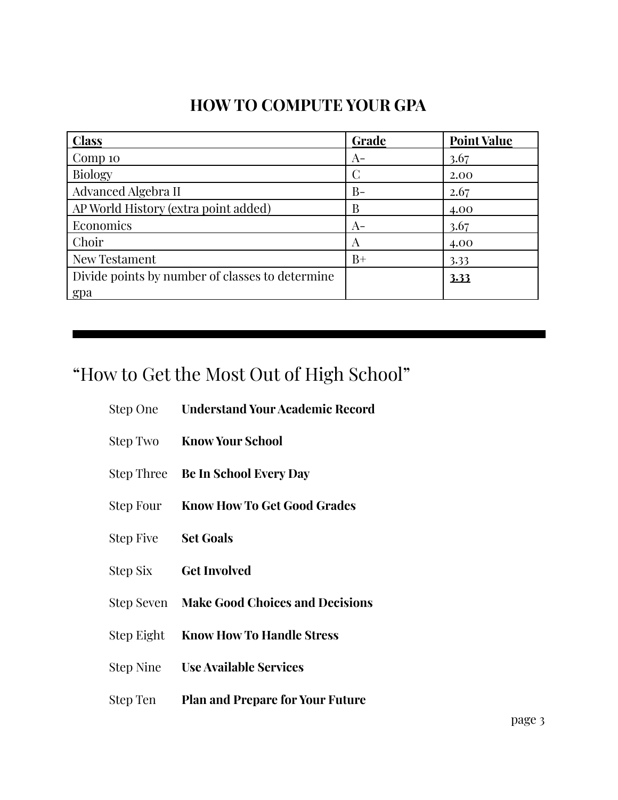## **HOW TO COMPUTE YOUR GPA**

| <b>Class</b>                                    | Grade | <b>Point Value</b> |
|-------------------------------------------------|-------|--------------------|
| Comp 10                                         | $A-$  | 3.67               |
| <b>Biology</b>                                  | C     | 2.00               |
| Advanced Algebra II                             | $B-$  | 2.67               |
| AP World History (extra point added)            | B     | 4.00               |
| Economics                                       | $A-$  | 3.67               |
| Choir                                           | A     | 4.00               |
| New Testament                                   | $B+$  | 3.33               |
| Divide points by number of classes to determine |       | 3.33               |
| spa                                             |       |                    |

## "How to Get the Most Out of High School"

|                     | Step One Understand Your Academic Record |
|---------------------|------------------------------------------|
|                     | <b>Step Two Know Your School</b>         |
|                     | Step Three Be In School Every Day        |
|                     | Step Four Know How To Get Good Grades    |
| Step Five Set Goals |                                          |
| Step Six            | <b>Get Involved</b>                      |

- Step Seven **Make Good Choices and Decisions**
- Step Eight **Know How To Handle Stress**
- Step Nine **Use Available Services**
- Step Ten **Plan and Prepare for Your Future**